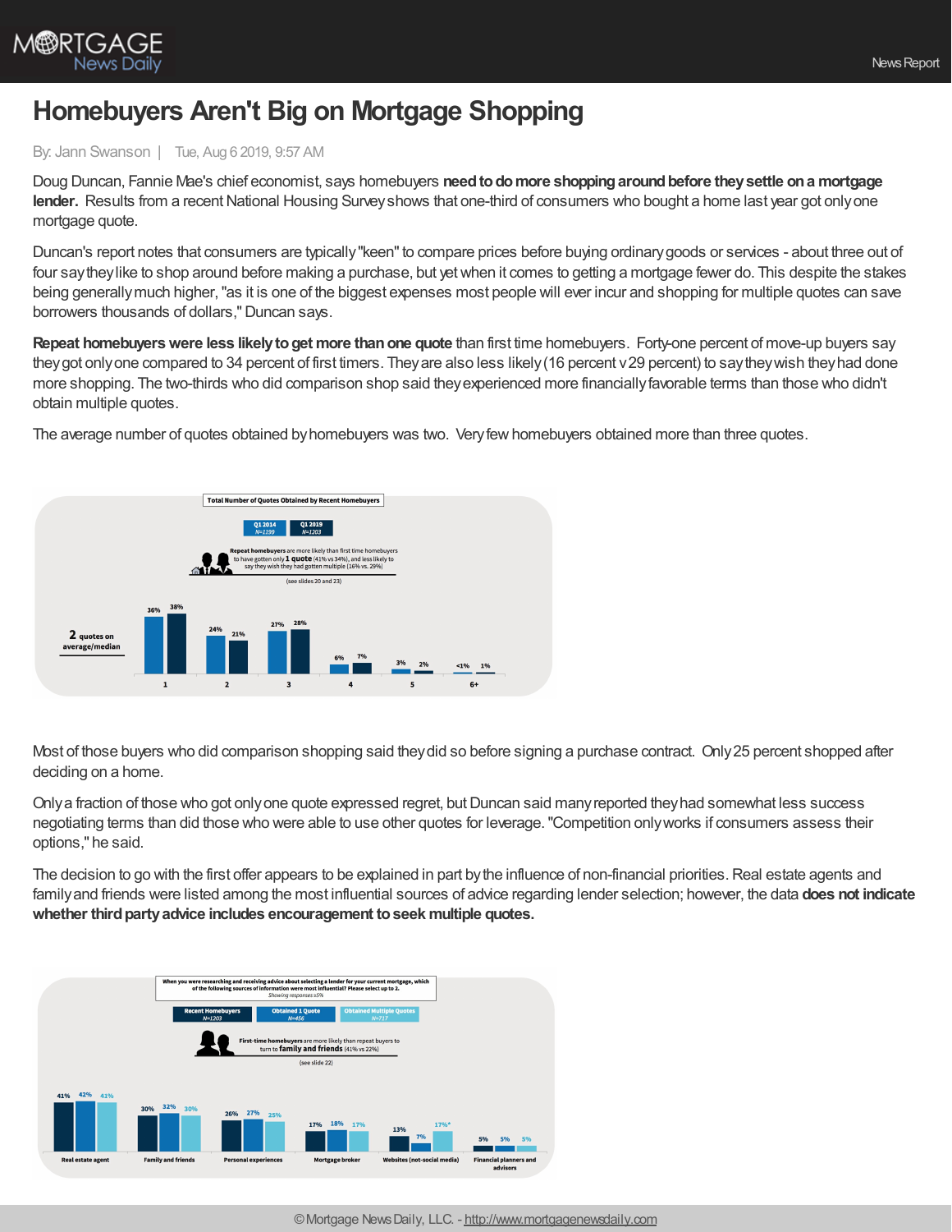

## **Homebuyers Aren't Big on Mortgage Shopping**

## By: Jann Swanson | Tue, Aug 6 2019, 9:57 AM

Doug Duncan, Fannie Mae's chief economist, says homebuyers **needtodomore shoppingaroundbefore theysettle ona mortgage lender.** Results from a recent National Housing Survey shows that one-third of consumers who bought a home last year got only one mortgage quote.

Duncan's report notes that consumers are typically "keen" to compare prices before buying ordinary goods or services - about three out of four saytheylike to shop around before making a purchase, but yetwhen it comes to getting a mortgage fewer do. This despite the stakes being generallymuch higher,"as it is one of the biggest expenses most people will ever incur and shopping for multiple quotes can save borrowers thousands of dollars,"Duncan says.

**Repeat homebuyers were less likely to get more than one quote than first time homebuyers. Forty-one percent of move-up buyers say** they got only one compared to 34 percent of first timers. They are also less likely (16 percent v 29 percent) to say they wish they had done more shopping. The two-thirds who did comparison shop said they experienced more financially favorable terms than those who didn't obtain multiple quotes.

The average number of quotes obtained byhomebuyers was two. Veryfewhomebuyers obtained more than three quotes.



Most of those buyers who did comparison shopping said theydid so before signing a purchase contract. Only25 percent shopped after deciding on a home.

Only a fraction of those who got only one quote expressed regret, but Duncan said many reported they had somewhat less success negotiating terms than did those who were able to use other quotes for leverage."Competition onlyworks if consumers assess their options," he said.

The decision to go with the first offer appears to be explained in part by the influence of non-financial priorities. Real estate agents and familyand friends were listed among the most influential sources of advice regarding lender selection; however, the data **does not indicate whether thirdpartyadvice includes encouragement toseek multiple quotes.**